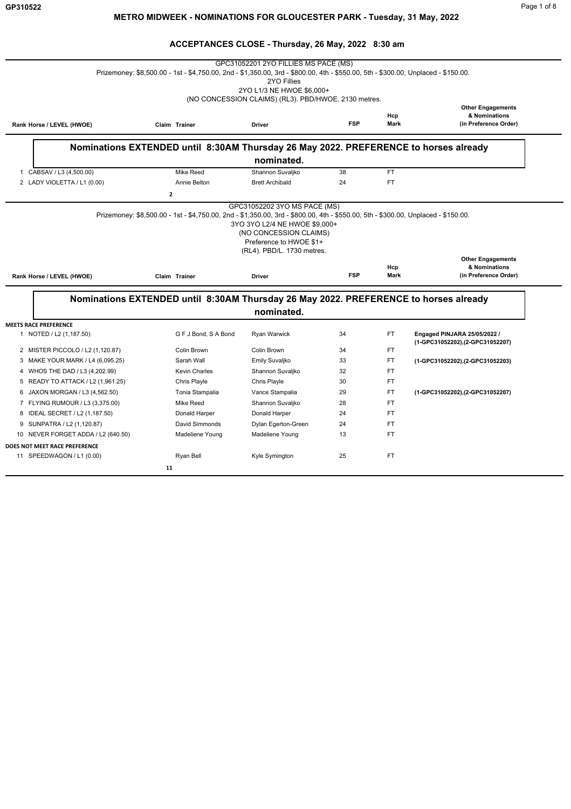|                                                         |                                                                                                       | 2YO Fillies<br>2YO L1/3 NE HWOE \$6,000+<br>(NO CONCESSION CLAIMS) (RL3). PBD/HWOE. 2130 metres. |            |             |                                                                    |
|---------------------------------------------------------|-------------------------------------------------------------------------------------------------------|--------------------------------------------------------------------------------------------------|------------|-------------|--------------------------------------------------------------------|
| Rank Horse / LEVEL (HWOE)                               | Claim Trainer                                                                                         | <b>Driver</b>                                                                                    | <b>FSP</b> | Hcp<br>Mark | <b>Other Engagements</b><br>& Nominations<br>(in Preference Order) |
|                                                         | Nominations EXTENDED until 8:30AM Thursday 26 May 2022. PREFERENCE to horses already                  | nominated.                                                                                       |            |             |                                                                    |
| 1 CABSAV / L3 (4,500.00)                                | <b>Mike Reed</b>                                                                                      | Shannon Suvaljko                                                                                 | 38         | <b>FT</b>   |                                                                    |
| 2 LADY VIOLETTA / L1 (0.00)                             | Annie Belton                                                                                          | <b>Brett Archibald</b>                                                                           | 24         | <b>FT</b>   |                                                                    |
|                                                         | $\mathbf{z}$                                                                                          |                                                                                                  |            |             |                                                                    |
|                                                         |                                                                                                       |                                                                                                  |            | Hcp         | <b>Other Engagements</b><br>& Nominations                          |
| Rank Horse / LEVEL (HWOE)                               | Claim Trainer<br>Nominations EXTENDED until 8:30AM Thursday 26 May 2022. PREFERENCE to horses already | <b>Driver</b>                                                                                    | <b>FSP</b> | Mark        | (in Preference Order)                                              |
|                                                         |                                                                                                       | nominated.                                                                                       |            |             |                                                                    |
| <b>MEETS RACE PREFERENCE</b><br>1 NOTED / L2 (1,187.50) | G F J Bond, S A Bond                                                                                  | Ryan Warwick                                                                                     | 34         | FT          | Engaged PINJARA 25/05/2022 /                                       |
| 2 MISTER PICCOLO / L2 (1,120.87)                        | Colin Brown                                                                                           | Colin Brown                                                                                      | 34         | FT          | (1-GPC31052202),(2-GPC31052207)                                    |
| 3 MAKE YOUR MARK / L4 (6,095.25)                        | Sarah Wall                                                                                            | Emily Suvaljko                                                                                   | 33         | <b>FT</b>   | (1-GPC31052202), (2-GPC31052203)                                   |
| WHOS THE DAD / L3 (4,202.99)<br>4                       | <b>Kevin Charles</b>                                                                                  | Shannon Suvaljko                                                                                 | 32         | <b>FT</b>   |                                                                    |
| READY TO ATTACK / L2 (1,961.25)<br>5                    | Chris Playle                                                                                          | Chris Playle                                                                                     | 30         | FT          |                                                                    |
| JAXON MORGAN / L3 (4,562.50)<br>6                       | Tonia Stampalia                                                                                       | Vance Stampalia                                                                                  | 29         | FT          | (1-GPC31052202), (2-GPC31052207)                                   |
| 7 FLYING RUMOUR / L3 (3,375.00)                         | Mike Reed                                                                                             | Shannon Suvaljko                                                                                 | 28         | <b>FT</b>   |                                                                    |
| 8 IDEAL SECRET / L2 (1,187.50)                          | Donald Harper                                                                                         | Donald Harper                                                                                    | 24         | <b>FT</b>   |                                                                    |
| 9 SUNPATRA / L2 (1,120.87)                              | David Simmonds                                                                                        | Dylan Egerton-Green                                                                              | 24         | FT          |                                                                    |
| 10 NEVER FORGET ADDA / L2 (640.50)                      | Madeliene Young                                                                                       | Madeliene Young                                                                                  | 13         | FT          |                                                                    |
| DOES NOT MEET RACE PREFERENCE                           |                                                                                                       |                                                                                                  |            |             |                                                                    |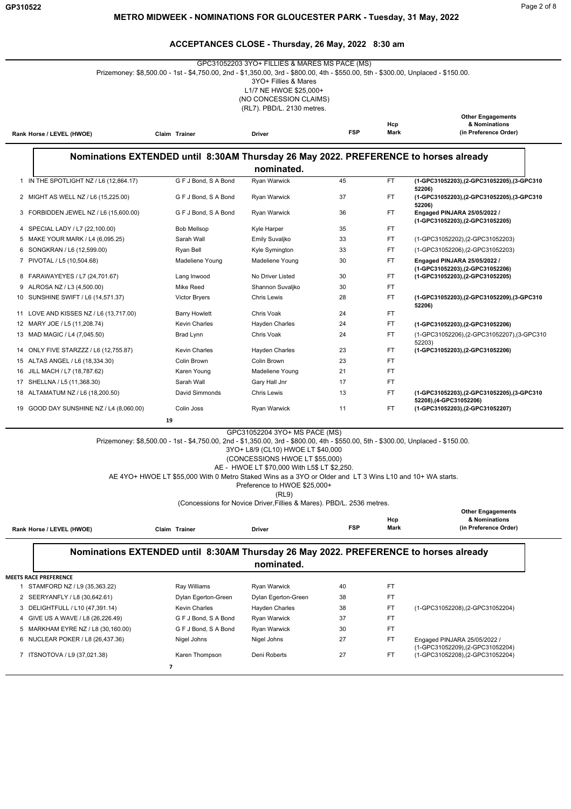| GPC31052203 3YO+ FILLIES & MARES MS PACE (MS)<br>Prizemoney: \$8,500.00 - 1st - \$4,750.00, 2nd - \$1,350.00, 3rd - \$800.00, 4th - \$550.00, 5th - \$300.00, Unplaced - \$150.00.<br>3YO+ Fillies & Mares<br>L1/7 NE HWOE \$25,000+<br>(NO CONCESSION CLAIMS)<br>(RL7). PBD/L. 2130 metres. |                                         |                                                                                                                                   |                                   |            |             |                                                                        |
|----------------------------------------------------------------------------------------------------------------------------------------------------------------------------------------------------------------------------------------------------------------------------------------------|-----------------------------------------|-----------------------------------------------------------------------------------------------------------------------------------|-----------------------------------|------------|-------------|------------------------------------------------------------------------|
|                                                                                                                                                                                                                                                                                              | Rank Horse / LEVEL (HWOE)               | Claim Trainer                                                                                                                     | <b>Driver</b>                     | <b>FSP</b> | Hcp<br>Mark | <b>Other Engagements</b><br>& Nominations<br>(in Preference Order)     |
| Nominations EXTENDED until 8:30AM Thursday 26 May 2022. PREFERENCE to horses already                                                                                                                                                                                                         |                                         |                                                                                                                                   |                                   |            |             |                                                                        |
|                                                                                                                                                                                                                                                                                              |                                         |                                                                                                                                   | nominated.                        |            |             |                                                                        |
|                                                                                                                                                                                                                                                                                              | 1 IN THE SPOTLIGHT NZ / L6 (12,864.17)  | G F J Bond, S A Bond                                                                                                              | <b>Ryan Warwick</b>               | 45         | FT.         | (1-GPC31052203).(2-GPC31052205).(3-GPC310<br>52206)                    |
|                                                                                                                                                                                                                                                                                              | 2 MIGHT AS WELL NZ / L6 (15,225.00)     | G F J Bond, S A Bond                                                                                                              | Ryan Warwick                      | 37         | FT.         | (1-GPC31052203), (2-GPC31052205), (3-GPC310<br>52206)                  |
|                                                                                                                                                                                                                                                                                              | 3 FORBIDDEN JEWEL NZ / L6 (15,600.00)   | G F J Bond, S A Bond                                                                                                              | Ryan Warwick                      | 36         | FT.         | Engaged PINJARA 25/05/2022 /<br>(1-GPC31052203),(2-GPC31052205)        |
|                                                                                                                                                                                                                                                                                              | 4 SPECIAL LADY / L7 (22,100.00)         | <b>Bob Mellsop</b>                                                                                                                | Kyle Harper                       | 35         | FT.         |                                                                        |
|                                                                                                                                                                                                                                                                                              | 5 MAKE YOUR MARK / L4 (6,095.25)        | Sarah Wall                                                                                                                        | Emily Suvaljko                    | 33         | FT.         | (1-GPC31052202), (2-GPC31052203)                                       |
|                                                                                                                                                                                                                                                                                              | 6 SONGKRAN / L6 (12,599.00)             | Ryan Bell                                                                                                                         | Kyle Symington                    | 33         | FT.         | (1-GPC31052206), (2-GPC31052203)                                       |
|                                                                                                                                                                                                                                                                                              | 7 PIVOTAL / L5 (10,504.68)              | Madeliene Young                                                                                                                   | Madeliene Young                   | 30         | FT.         | Engaged PINJARA 25/05/2022 /<br>(1-GPC31052203), (2-GPC31052206)       |
|                                                                                                                                                                                                                                                                                              | 8 FARAWAYEYES / L7 (24,701.67)          | Lang Inwood                                                                                                                       | No Driver Listed                  | 30         | FT.         | (1-GPC31052203),(2-GPC31052205)                                        |
|                                                                                                                                                                                                                                                                                              | 9 ALROSA NZ / L3 (4,500.00)             | Mike Reed                                                                                                                         | Shannon Suvaljko                  | 30         | FT.         |                                                                        |
|                                                                                                                                                                                                                                                                                              | 10 SUNSHINE SWIFT / L6 (14,571.37)      | Victor Bryers                                                                                                                     | <b>Chris Lewis</b>                | 28         | FT.         | (1-GPC31052203), (2-GPC31052209), (3-GPC310<br>52206)                  |
|                                                                                                                                                                                                                                                                                              | 11 LOVE AND KISSES NZ / L6 (13,717.00)  | <b>Barry Howlett</b>                                                                                                              | Chris Voak                        | 24         | FT.         |                                                                        |
|                                                                                                                                                                                                                                                                                              | 12 MARY JOE / L5 (11,208.74)            | Kevin Charles                                                                                                                     | <b>Hayden Charles</b>             | 24         | FT.         | (1-GPC31052203) (2-GPC31052206)                                        |
|                                                                                                                                                                                                                                                                                              | 13 MAD MAGIC / L4 (7,045.50)            | Brad Lynn                                                                                                                         | Chris Voak                        | 24         | FT.         | (1-GPC31052206),(2-GPC31052207),(3-GPC310<br>52203)                    |
|                                                                                                                                                                                                                                                                                              | 14 ONLY FIVE STARZZZ / L6 (12,755.87)   | <b>Kevin Charles</b>                                                                                                              | Hayden Charles                    | 23         | FT.         | (1-GPC31052203), (2-GPC31052206)                                       |
|                                                                                                                                                                                                                                                                                              | 15 ALTAS ANGEL / L6 (18,334.30)         | Colin Brown                                                                                                                       | Colin Brown                       | 23         | FT.         |                                                                        |
|                                                                                                                                                                                                                                                                                              | 16 JILL MACH / L7 (18,787.62)           | Karen Young                                                                                                                       | Madeliene Young                   | 21         | FT.         |                                                                        |
|                                                                                                                                                                                                                                                                                              | 17 SHELLNA / L5 (11,368.30)             | Sarah Wall                                                                                                                        | Gary Hall Jnr                     | 17         | FT.         |                                                                        |
|                                                                                                                                                                                                                                                                                              | 18 ALTAMATUM NZ / L6 (18,200.50)        | David Simmonds                                                                                                                    | Chris Lewis                       | 13         | FT.         | (1-GPC31052203), (2-GPC31052205), (3-GPC310<br>52208), (4-GPC31052206) |
|                                                                                                                                                                                                                                                                                              | 19 GOOD DAY SUNSHINE NZ / L4 (8,060.00) | Colin Joss                                                                                                                        | Ryan Warwick                      | 11         | FT.         | (1-GPC31052203), (2-GPC31052207)                                       |
|                                                                                                                                                                                                                                                                                              |                                         | 19                                                                                                                                |                                   |            |             |                                                                        |
|                                                                                                                                                                                                                                                                                              |                                         |                                                                                                                                   | GPC31052204 3YO+ MS PACE (MS)     |            |             |                                                                        |
|                                                                                                                                                                                                                                                                                              |                                         | Prizemoney: \$8,500.00 - 1st - \$4,750.00, 2nd - \$1,350.00, 3rd - \$800.00, 4th - \$550.00, 5th - \$300.00, Unplaced - \$150.00. | 3YO+ L8/9 (CL10) HWOE LT \$40,000 |            |             |                                                                        |

(CONCESSIONS HWOE LT \$55,000)

AE - HWOE LT \$70,000 With L5\$ LT \$2,250.

AE 4YO+ HWOE LT \$55,000 With 0 Metro Staked Wins as a 3YO or Older and LT 3 Wins L10 and 10+ WA starts.

Preference to HWOE \$25,000+

(RL9)

(Concessions for Novice Driver,Fillies & Mares). PBD/L. 2536 metres.

|                           |                  |               |     |             | <b>Other Engagements</b> |
|---------------------------|------------------|---------------|-----|-------------|--------------------------|
|                           |                  |               |     | Hct         | <b>&amp; Nominations</b> |
| Rank Horse / LEVEL (HWOE) | Trainer<br>Claim | <b>Driver</b> | FSP | <b>Mark</b> | (in Preference Order)    |

#### **Nominations EXTENDED until 8:30AM Thursday 26 May 2022. PREFERENCE to horses already nominated.**

**MEETS RACE PREFERENCE**

 $\overline{\phantom{a}}$ 

| STAMFORD NZ / L9 (35,363.22)       | Ray Williams         | Ryan Warwick        | 40 | FT        |                                                                  |
|------------------------------------|----------------------|---------------------|----|-----------|------------------------------------------------------------------|
| 2 SEERYANFLY / L8 (30,642.61)      | Dylan Egerton-Green  | Dylan Egerton-Green | 38 | FΤ        |                                                                  |
| 3 DELIGHTFULL / L10 (47,391.14)    | <b>Kevin Charles</b> | Hayden Charles      | 38 | FT        | (1-GPC31052208), (2-GPC31052204)                                 |
| 4 GIVE US A WAVE / L8 (26,226.49)  | G F J Bond, S A Bond | Ryan Warwick        | 37 | <b>FT</b> |                                                                  |
| 5 MARKHAM EYRE NZ / L8 (30,160.00) | G F J Bond, S A Bond | Ryan Warwick        | 30 | FT.       |                                                                  |
| 6 NUCLEAR POKER / L8 (26,437.36)   | Nigel Johns          | Nigel Johns         | 27 | FT        | Engaged PINJARA 25/05/2022 /<br>(1-GPC31052209), (2-GPC31052204) |
| 7 ITSNOTOVA / L9 (37,021.38)       | Karen Thompson       | Deni Roberts        | 27 | FT        | (1-GPC31052208), (2-GPC31052204)                                 |
|                                    |                      |                     |    |           |                                                                  |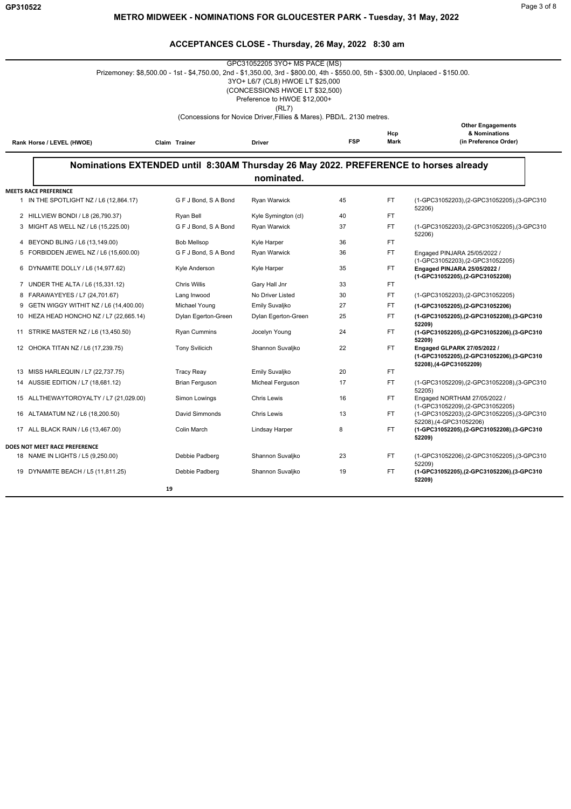|                                                                        |                                                                                                                                   | GPC31052205 3YO+ MS PACE (MS)                                                                      |            |                    |                                                                                                       |
|------------------------------------------------------------------------|-----------------------------------------------------------------------------------------------------------------------------------|----------------------------------------------------------------------------------------------------|------------|--------------------|-------------------------------------------------------------------------------------------------------|
|                                                                        | Prizemoney: \$8,500.00 - 1st - \$4,750.00, 2nd - \$1,350.00, 3rd - \$800.00, 4th - \$550.00, 5th - \$300.00, Unplaced - \$150.00. | 3YO+ L6/7 (CL8) HWOE LT \$25,000<br>(CONCESSIONS HWOE LT \$32,500)<br>Preference to HWOE \$12,000+ |            |                    |                                                                                                       |
|                                                                        |                                                                                                                                   | (RL7)<br>(Concessions for Novice Driver, Fillies & Mares). PBD/L. 2130 metres.                     |            |                    |                                                                                                       |
|                                                                        |                                                                                                                                   |                                                                                                    |            |                    | <b>Other Engagements</b>                                                                              |
| Rank Horse / LEVEL (HWOE)                                              | Claim Trainer                                                                                                                     | <b>Driver</b>                                                                                      | <b>FSP</b> | Hcp<br><b>Mark</b> | & Nominations<br>(in Preference Order)                                                                |
|                                                                        | Nominations EXTENDED until 8:30AM Thursday 26 May 2022. PREFERENCE to horses already                                              | nominated.                                                                                         |            |                    |                                                                                                       |
|                                                                        |                                                                                                                                   |                                                                                                    |            |                    |                                                                                                       |
| <b>MEETS RACE PREFERENCE</b><br>1 IN THE SPOTLIGHT NZ / L6 (12,864.17) | G F J Bond, S A Bond                                                                                                              | Ryan Warwick                                                                                       | 45         | <b>FT</b>          | (1-GPC31052203),(2-GPC31052205),(3-GPC310<br>52206)                                                   |
| 2 HILLVIEW BONDI / L8 (26,790.37)                                      | Ryan Bell                                                                                                                         | Kyle Symington (cl)                                                                                | 40         | FT.                |                                                                                                       |
| 3 MIGHT AS WELL NZ / L6 (15,225.00)                                    | G F J Bond, S A Bond                                                                                                              | <b>Ryan Warwick</b>                                                                                | 37         | FT.                | (1-GPC31052203), (2-GPC31052205), (3-GPC310<br>52206)                                                 |
| 4 BEYOND BLING / L6 (13,149.00)                                        | <b>Bob Mellsop</b>                                                                                                                | <b>Kyle Harper</b>                                                                                 | 36         | FT.                |                                                                                                       |
| 5 FORBIDDEN JEWEL NZ / L6 (15,600.00)                                  | G F J Bond, S A Bond                                                                                                              | Ryan Warwick                                                                                       | 36         | <b>FT</b>          | Engaged PINJARA 25/05/2022 /<br>(1-GPC31052203), (2-GPC31052205)                                      |
| 6 DYNAMITE DOLLY / L6 (14,977.62)                                      | Kyle Anderson                                                                                                                     | <b>Kyle Harper</b>                                                                                 | 35         | FT.                | Engaged PINJARA 25/05/2022 /<br>(1-GPC31052205), (2-GPC31052208)                                      |
| 7 UNDER THE ALTA / L6 (15,331.12)                                      | <b>Chris Willis</b>                                                                                                               | Gary Hall Jnr                                                                                      | 33         | FT.                |                                                                                                       |
| 8 FARAWAYEYES / L7 (24,701.67)                                         | Lang Inwood                                                                                                                       | No Driver Listed                                                                                   | 30         | FT.                | (1-GPC31052203), (2-GPC31052205)                                                                      |
| GETN WIGGY WITHIT NZ / L6 (14,400.00)<br>9                             | Michael Young                                                                                                                     | Emily Suvaljko                                                                                     | 27         | FT.                | (1-GPC31052205), (2-GPC31052206)                                                                      |
| 10 HEZA HEAD HONCHO NZ / L7 (22,665.14)                                | Dylan Egerton-Green                                                                                                               | Dylan Egerton-Green                                                                                | 25         | FT.                | (1-GPC31052205), (2-GPC31052208), (3-GPC310<br>52209)                                                 |
| 11 STRIKE MASTER NZ / L6 (13,450.50)                                   | <b>Ryan Cummins</b>                                                                                                               | Jocelyn Young                                                                                      | 24         | FT.                | (1-GPC31052205), (2-GPC31052206), (3-GPC310<br>52209)                                                 |
| 12 OHOKA TITAN NZ / L6 (17,239.75)                                     | <b>Tony Svilicich</b>                                                                                                             | Shannon Suvaljko                                                                                   | 22         | FT.                | Engaged GLPARK 27/05/2022 /<br>(1-GPC31052205), (2-GPC31052206), (3-GPC310<br>52208), (4-GPC31052209) |
| 13 MISS HARLEQUIN / L7 (22,737.75)                                     | <b>Tracy Reay</b>                                                                                                                 | Emily Suvaljko                                                                                     | 20         | FT.                |                                                                                                       |
| 14 AUSSIE EDITION / L7 (18,681.12)                                     | <b>Brian Ferguson</b>                                                                                                             | Micheal Ferguson                                                                                   | 17         | <b>FT</b>          | (1-GPC31052209),(2-GPC31052208),(3-GPC310<br>52205)                                                   |
| 15 ALLTHEWAYTOROYALTY / L7 (21,029.00)                                 | Simon Lowings                                                                                                                     | <b>Chris Lewis</b>                                                                                 | 16         | FT.                | Engaged NORTHAM 27/05/2022 /<br>(1-GPC31052209), (2-GPC31052205)                                      |
| 16 ALTAMATUM NZ / L6 (18,200.50)                                       | David Simmonds                                                                                                                    | <b>Chris Lewis</b>                                                                                 | 13         | FT.                | (1-GPC31052203), (2-GPC31052205), (3-GPC310<br>52208), (4-GPC31052206)                                |
| 17 ALL BLACK RAIN / L6 (13,467.00)                                     | Colin March                                                                                                                       | Lindsay Harper                                                                                     | 8          | FT.                | (1-GPC31052205).(2-GPC31052208).(3-GPC310<br>52209)                                                   |
| DOES NOT MEET RACE PREFERENCE                                          |                                                                                                                                   |                                                                                                    |            |                    |                                                                                                       |
| 18 NAME IN LIGHTS / L5 (9,250.00)                                      | Debbie Padberg                                                                                                                    | Shannon Suvaljko                                                                                   | 23         | FT                 | (1-GPC31052206),(2-GPC31052205),(3-GPC310<br>52209)                                                   |
| 19 DYNAMITE BEACH / L5 (11,811.25)                                     | Debbie Padberg                                                                                                                    | Shannon Suvaljko                                                                                   | 19         | <b>FT</b>          | (1-GPC31052205),(2-GPC31052206),(3-GPC310<br>52209)                                                   |
|                                                                        | 19                                                                                                                                |                                                                                                    |            |                    |                                                                                                       |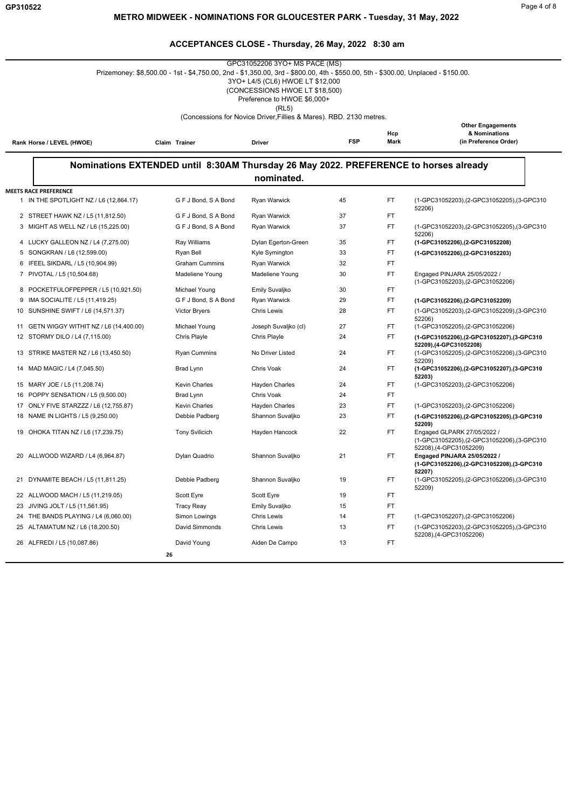| GPC31052206 3YO+ MS PACE (MS)<br>Prizemoney: \$8,500.00 - 1st - \$4,750.00, 2nd - \$1,350.00, 3rd - \$800.00, 4th - \$550.00, 5th - \$300.00, Unplaced - \$150.00.<br>3YO+ L4/5 (CL6) HWOE LT \$12,000<br>(CONCESSIONS HWOE LT \$18,500)<br>Preference to HWOE \$6,000+<br>(RL5) |                                                                                      |                                      |            |             |                                                                                                     |  |  |
|----------------------------------------------------------------------------------------------------------------------------------------------------------------------------------------------------------------------------------------------------------------------------------|--------------------------------------------------------------------------------------|--------------------------------------|------------|-------------|-----------------------------------------------------------------------------------------------------|--|--|
| (Concessions for Novice Driver, Fillies & Mares). RBD. 2130 metres.                                                                                                                                                                                                              |                                                                                      |                                      |            |             |                                                                                                     |  |  |
| Rank Horse / LEVEL (HWOE)                                                                                                                                                                                                                                                        | Claim Trainer                                                                        | Driver                               | <b>FSP</b> | Hcp<br>Mark | <b>Other Engagements</b><br>& Nominations<br>(in Preference Order)                                  |  |  |
|                                                                                                                                                                                                                                                                                  | Nominations EXTENDED until 8:30AM Thursday 26 May 2022. PREFERENCE to horses already | nominated.                           |            |             |                                                                                                     |  |  |
| <b>MEETS RACE PREFERENCE</b>                                                                                                                                                                                                                                                     |                                                                                      |                                      |            |             |                                                                                                     |  |  |
| 1 IN THE SPOTLIGHT NZ / L6 (12,864.17)                                                                                                                                                                                                                                           | G F J Bond, S A Bond                                                                 | Ryan Warwick                         | 45         | FT          | (1-GPC31052203), (2-GPC31052205), (3-GPC310<br>52206)                                               |  |  |
| 2 STREET HAWK NZ / L5 (11,812.50)                                                                                                                                                                                                                                                | G F J Bond, S A Bond                                                                 | Ryan Warwick                         | 37         | <b>FT</b>   |                                                                                                     |  |  |
| 3 MIGHT AS WELL NZ / L6 (15,225.00)                                                                                                                                                                                                                                              | G F J Bond, S A Bond                                                                 | Ryan Warwick                         | 37         | FT          | (1-GPC31052203),(2-GPC31052205),(3-GPC310                                                           |  |  |
| 4 LUCKY GALLEON NZ / L4 (7,275.00)                                                                                                                                                                                                                                               | Ray Williams                                                                         | Dylan Egerton-Green                  | 35         | FT.         | 52206)<br>(1-GPC31052206), (2-GPC31052208)                                                          |  |  |
| 5 SONGKRAN / L6 (12,599.00)                                                                                                                                                                                                                                                      | Ryan Bell                                                                            | Kyle Symington                       | 33         | FT          | (1-GPC31052206),(2-GPC31052203)                                                                     |  |  |
| 6 IFEEL SIKDARL / L5 (10,904.99)                                                                                                                                                                                                                                                 | <b>Graham Cummins</b>                                                                | Ryan Warwick                         | 32         | FT          |                                                                                                     |  |  |
| 7 PIVOTAL / L5 (10,504.68)                                                                                                                                                                                                                                                       | Madeliene Young                                                                      | Madeliene Young                      | 30         | FT.         | Engaged PINJARA 25/05/2022 /                                                                        |  |  |
| 8 POCKETFULOFPEPPER / L5 (10,921.50)                                                                                                                                                                                                                                             | Michael Young                                                                        | Emily Suvaljko                       | 30         | <b>FT</b>   | (1-GPC31052203), (2-GPC31052206)                                                                    |  |  |
| IMA SOCIALITE / L5 (11,419.25)<br>9                                                                                                                                                                                                                                              | G F J Bond, S A Bond                                                                 | Ryan Warwick                         | 29         | FT          | (1-GPC31052206),(2-GPC31052209)                                                                     |  |  |
| SUNSHINE SWIFT / L6 (14,571.37)<br>10                                                                                                                                                                                                                                            | <b>Victor Bryers</b>                                                                 | Chris Lewis                          | 28         | FT          | (1-GPC31052203), (2-GPC31052209), (3-GPC310                                                         |  |  |
|                                                                                                                                                                                                                                                                                  |                                                                                      |                                      | 27         | FT.         | 52206)                                                                                              |  |  |
| 11 GETN WIGGY WITHIT NZ / L6 (14,400.00)<br>12 STORMY DILO / L4 (7,115.00)                                                                                                                                                                                                       | Michael Young<br>Chris Playle                                                        | Joseph Suvaljko (cl)<br>Chris Playle | 24         | <b>FT</b>   | (1-GPC31052205), (2-GPC31052206)<br>(1-GPC31052206),(2-GPC31052207),(3-GPC310                       |  |  |
|                                                                                                                                                                                                                                                                                  |                                                                                      |                                      |            |             | 52209), (4-GPC31052208)                                                                             |  |  |
| 13 STRIKE MASTER NZ / L6 (13,450.50)                                                                                                                                                                                                                                             | <b>Ryan Cummins</b>                                                                  | No Driver Listed                     | 24         | FT.         | (1-GPC31052205),(2-GPC31052206),(3-GPC310<br>52209)                                                 |  |  |
| 14 MAD MAGIC / L4 (7,045.50)                                                                                                                                                                                                                                                     | Brad Lynn                                                                            | Chris Voak                           | 24         | FT.         | (1-GPC31052206), (2-GPC31052207), (3-GPC310                                                         |  |  |
| 15 MARY JOE / L5 (11,208.74)                                                                                                                                                                                                                                                     | <b>Kevin Charles</b>                                                                 | <b>Hayden Charles</b>                | 24         | FT.         | 52203)<br>(1-GPC31052203), (2-GPC31052206)                                                          |  |  |
| 16 POPPY SENSATION / L5 (9,500.00)                                                                                                                                                                                                                                               | Brad Lynn                                                                            | Chris Voak                           | 24         | FT.         |                                                                                                     |  |  |
| 17 ONLY FIVE STARZZZ / L6 (12,755.87)                                                                                                                                                                                                                                            | <b>Kevin Charles</b>                                                                 | Hayden Charles                       | 23         | FT          | (1-GPC31052203), (2-GPC31052206)                                                                    |  |  |
| 18 NAME IN LIGHTS / L5 (9,250.00)                                                                                                                                                                                                                                                | Debbie Padberg                                                                       | Shannon Suvaljko                     | 23         | FT          | (1-GPC31052206), (2-GPC31052205), (3-GPC310                                                         |  |  |
|                                                                                                                                                                                                                                                                                  |                                                                                      |                                      |            |             | 52209)                                                                                              |  |  |
| 19 OHOKA TITAN NZ / L6 (17,239.75)                                                                                                                                                                                                                                               | <b>Tony Svilicich</b>                                                                | Hayden Hancock                       | 22         | FT.         | Engaged GLPARK 27/05/2022 /<br>(1-GPC31052205),(2-GPC31052206),(3-GPC310<br>52208), (4-GPC31052209) |  |  |
| 20 ALLWOOD WIZARD / L4 (6,964.87)                                                                                                                                                                                                                                                | Dylan Quadrio                                                                        | Shannon Suvaljko                     | 21         | FT.         | Engaged PINJARA 25/05/2022 /<br>(1-GPC31052206),(2-GPC31052208),(3-GPC310                           |  |  |
| 21 DYNAMITE BEACH / L5 (11,811.25)                                                                                                                                                                                                                                               | Debbie Padberg                                                                       | Shannon Suvaliko                     | 19         | FT          | 52207)<br>(1-GPC31052205),(2-GPC31052206),(3-GPC310<br>52209)                                       |  |  |
| 22 ALLWOOD MACH / L5 (11,219.05)                                                                                                                                                                                                                                                 | Scott Eyre                                                                           | Scott Eyre                           | 19         | FT          |                                                                                                     |  |  |
| 23 JIVING JOLT / L5 (11,561.95)                                                                                                                                                                                                                                                  | <b>Tracy Reay</b>                                                                    | Emily Suvaljko                       | 15         | FT          |                                                                                                     |  |  |
| 24 THE BANDS PLAYING / L4 (6,060.00)                                                                                                                                                                                                                                             | Simon Lowings                                                                        | <b>Chris Lewis</b>                   | 14         | FT          | (1-GPC31052207), (2-GPC31052206)                                                                    |  |  |
| 25 ALTAMATUM NZ / L6 (18,200.50)                                                                                                                                                                                                                                                 | David Simmonds                                                                       | <b>Chris Lewis</b>                   | 13         | FT          | (1-GPC31052203), (2-GPC31052205), (3-GPC310                                                         |  |  |
| 26 ALFREDI / L5 (10,087.86)                                                                                                                                                                                                                                                      | David Young                                                                          | Aiden De Campo                       | 13         | FT.         | 52208), (4-GPC31052206)                                                                             |  |  |
|                                                                                                                                                                                                                                                                                  | 26                                                                                   |                                      |            |             |                                                                                                     |  |  |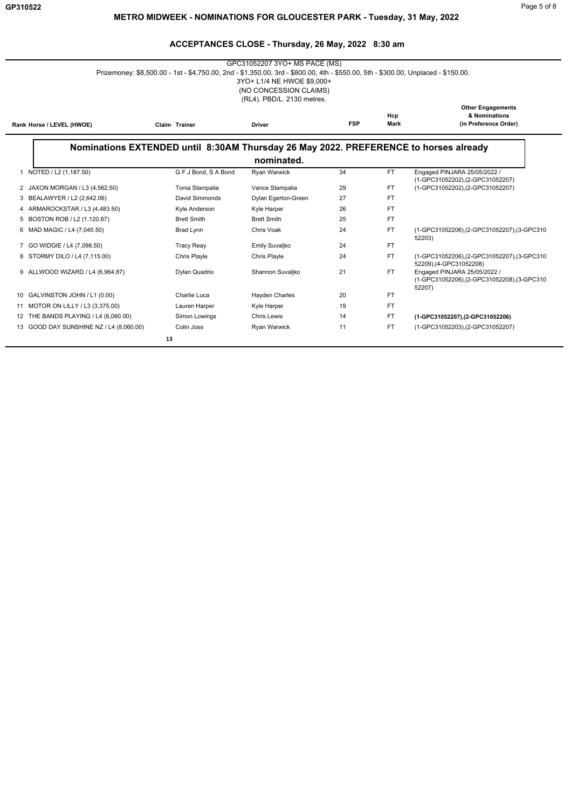| GPC31052207 3YO+ MS PACE (MS)<br>Prizemoney: \$8,500.00 - 1st - \$4,750.00, 2nd - \$1,350.00, 3rd - \$800.00, 4th - \$550.00, 5th - \$300.00, Unplaced - \$150.00.<br>3YO+ L1/4 NE HWOE \$9,000+<br>(NO CONCESSION CLAIMS)<br>(RL4). PBD/L. 2130 metres. |                                                                                      |                       |            |             |                                                                                     |  |
|----------------------------------------------------------------------------------------------------------------------------------------------------------------------------------------------------------------------------------------------------------|--------------------------------------------------------------------------------------|-----------------------|------------|-------------|-------------------------------------------------------------------------------------|--|
| Rank Horse / LEVEL (HWOE)                                                                                                                                                                                                                                | Claim Trainer                                                                        | <b>Driver</b>         | <b>FSP</b> | Hcp<br>Mark | <b>Other Engagements</b><br>& Nominations<br>(in Preference Order)                  |  |
|                                                                                                                                                                                                                                                          | Nominations EXTENDED until 8:30AM Thursday 26 May 2022. PREFERENCE to horses already | nominated.            |            |             |                                                                                     |  |
|                                                                                                                                                                                                                                                          |                                                                                      |                       |            |             |                                                                                     |  |
| 1 NOTED / L2 (1,187.50)                                                                                                                                                                                                                                  | G F J Bond, S A Bond                                                                 | Ryan Warwick          | 34         | <b>FT</b>   | Engaged PINJARA 25/05/2022 /<br>(1-GPC31052202), (2-GPC31052207)                    |  |
| 2 JAXON MORGAN / L3 (4,562.50)                                                                                                                                                                                                                           | Tonia Stampalia                                                                      | Vance Stampalia       | 29         | <b>FT</b>   | (1-GPC31052202),(2-GPC31052207)                                                     |  |
| BEALAWYER / L2 (2,642.06)<br>3                                                                                                                                                                                                                           | David Simmonds                                                                       | Dylan Egerton-Green   | 27         | FT.         |                                                                                     |  |
| ARMAROCKSTAR / L3 (4,483.50)                                                                                                                                                                                                                             | Kyle Anderson                                                                        | Kyle Harper           | 26         | <b>FT</b>   |                                                                                     |  |
| BOSTON ROB / L2 (1,120.87)<br>5                                                                                                                                                                                                                          | <b>Brett Smith</b>                                                                   | <b>Brett Smith</b>    | 25         | <b>FT</b>   |                                                                                     |  |
| MAD MAGIC / L4 (7,045.50)<br>6                                                                                                                                                                                                                           | <b>Brad Lynn</b>                                                                     | Chris Voak            | 24         | <b>FT</b>   | (1-GPC31052206), (2-GPC31052207), (3-GPC310<br>52203)                               |  |
| GO WIDGIE / L4 (7,098.50)<br>7                                                                                                                                                                                                                           | <b>Tracy Reay</b>                                                                    | Emily Suvaljko        | 24         | <b>FT</b>   |                                                                                     |  |
| 8 STORMY DILO / L4 (7,115.00)                                                                                                                                                                                                                            | <b>Chris Playle</b>                                                                  | <b>Chris Playle</b>   | 24         | <b>FT</b>   | (1-GPC31052206),(2-GPC31052207),(3-GPC310<br>52209),(4-GPC31052208)                 |  |
| 9 ALLWOOD WIZARD / L4 (6,964.87)                                                                                                                                                                                                                         | Dylan Quadrio                                                                        | Shannon Suvaljko      | 21         | <b>FT</b>   | Engaged PINJARA 25/05/2022 /<br>(1-GPC31052206),(2-GPC31052208),(3-GPC310<br>52207) |  |
| 10 GALVINSTON JOHN / L1 (0.00)                                                                                                                                                                                                                           | Charlie Luca                                                                         | <b>Hayden Charles</b> | 20         | <b>FT</b>   |                                                                                     |  |
| 11 MOTOR ON LILLY / L3 (3,375.00)                                                                                                                                                                                                                        | Lauren Harper                                                                        | Kyle Harper           | 19         | <b>FT</b>   |                                                                                     |  |
| THE BANDS PLAYING / L4 (6,060.00)<br>12                                                                                                                                                                                                                  | Simon Lowings                                                                        | <b>Chris Lewis</b>    | 14         | FT.         | (1-GPC31052207), (2-GPC31052206)                                                    |  |
| 13 GOOD DAY SUNSHINE NZ / L4 (8,060.00)                                                                                                                                                                                                                  | Colin Joss                                                                           | Ryan Warwick          | 11         | <b>FT</b>   | (1-GPC31052203),(2-GPC31052207)                                                     |  |
|                                                                                                                                                                                                                                                          | 13                                                                                   |                       |            |             |                                                                                     |  |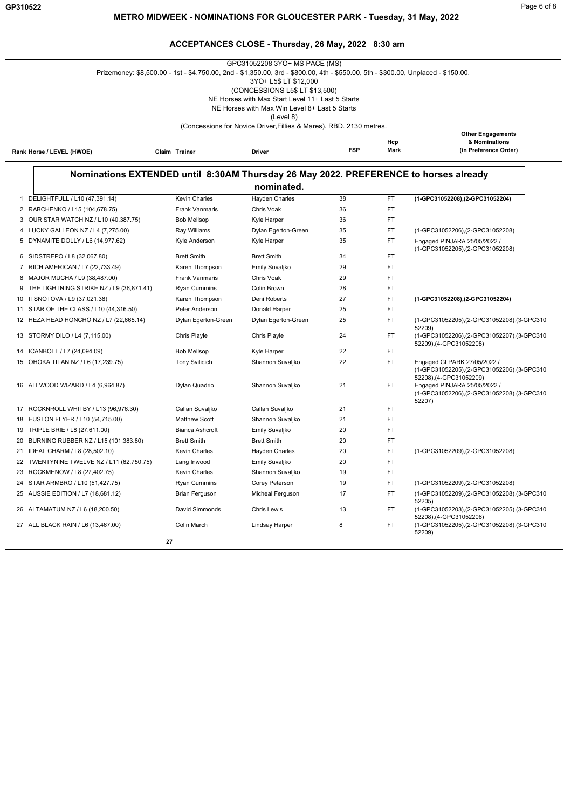| GPC31052208 3YO+ MS PACE (MS)<br>Prizemoney: \$8,500.00 - 1st - \$4,750.00, 2nd - \$1,350.00, 3rd - \$800.00, 4th - \$550.00, 5th - \$300.00, Unplaced - \$150.00.<br>3YO+ L5\$ LT \$12,000<br>(CONCESSIONS L5\$ LT \$13,500)<br>NE Horses with Max Start Level 11+ Last 5 Starts<br>NE Horses with Max Win Level 8+ Last 5 Starts<br>(Level 8) |                                        |                                                                                      |            |             |                                                                                                                                                                                  |
|-------------------------------------------------------------------------------------------------------------------------------------------------------------------------------------------------------------------------------------------------------------------------------------------------------------------------------------------------|----------------------------------------|--------------------------------------------------------------------------------------|------------|-------------|----------------------------------------------------------------------------------------------------------------------------------------------------------------------------------|
|                                                                                                                                                                                                                                                                                                                                                 |                                        | (Concessions for Novice Driver, Fillies & Mares). RBD. 2130 metres.                  |            |             |                                                                                                                                                                                  |
| Rank Horse / LEVEL (HWOE)                                                                                                                                                                                                                                                                                                                       | Claim Trainer                          | <b>Driver</b>                                                                        | <b>FSP</b> | Hcp<br>Mark | <b>Other Engagements</b><br>& Nominations<br>(in Preference Order)                                                                                                               |
|                                                                                                                                                                                                                                                                                                                                                 |                                        | Nominations EXTENDED until 8:30AM Thursday 26 May 2022. PREFERENCE to horses already |            |             |                                                                                                                                                                                  |
|                                                                                                                                                                                                                                                                                                                                                 |                                        | nominated.                                                                           |            |             |                                                                                                                                                                                  |
| DELIGHTFULL / L10 (47,391.14)<br>$\mathbf{1}$                                                                                                                                                                                                                                                                                                   | <b>Kevin Charles</b>                   | <b>Hayden Charles</b>                                                                | 38         | <b>FT</b>   | (1-GPC31052208).(2-GPC31052204)                                                                                                                                                  |
| 2 RABCHENKO / L15 (104,678.75)                                                                                                                                                                                                                                                                                                                  | Frank Vanmaris                         | Chris Voak                                                                           | 36         | FT          |                                                                                                                                                                                  |
| 3 OUR STAR WATCH NZ / L10 (40,387.75)                                                                                                                                                                                                                                                                                                           | <b>Bob Mellsop</b>                     | Kyle Harper                                                                          | 36         | <b>FT</b>   |                                                                                                                                                                                  |
| 4 LUCKY GALLEON NZ / L4 (7,275.00)                                                                                                                                                                                                                                                                                                              | Ray Williams                           | Dylan Egerton-Green                                                                  | 35         | FT          | (1-GPC31052206), (2-GPC31052208)                                                                                                                                                 |
| 5 DYNAMITE DOLLY / L6 (14,977.62)                                                                                                                                                                                                                                                                                                               | Kyle Anderson                          | Kyle Harper                                                                          | 35         | FT          | Engaged PINJARA 25/05/2022 /<br>(1-GPC31052205),(2-GPC31052208)                                                                                                                  |
| 6 SIDSTREPO / L8 (32,067.80)                                                                                                                                                                                                                                                                                                                    | <b>Brett Smith</b>                     | <b>Brett Smith</b>                                                                   | 34         | FT          |                                                                                                                                                                                  |
| 7 RICH AMERICAN / L7 (22,733.49)                                                                                                                                                                                                                                                                                                                | Karen Thompson                         | Emily Suvaljko                                                                       | 29         | FT          |                                                                                                                                                                                  |
| MAJOR MUCHA / L9 (38,487.00)<br>8                                                                                                                                                                                                                                                                                                               | <b>Frank Vanmaris</b>                  | Chris Voak                                                                           | 29         | FT          |                                                                                                                                                                                  |
| 9 THE LIGHTNING STRIKE NZ / L9 (36,871.41)                                                                                                                                                                                                                                                                                                      | Ryan Cummins                           | Colin Brown                                                                          | 28         | <b>FT</b>   |                                                                                                                                                                                  |
| 10 ITSNOTOVA / L9 (37,021.38)                                                                                                                                                                                                                                                                                                                   | Karen Thompson                         | Deni Roberts                                                                         | 27         | FT          | (1-GPC31052208), (2-GPC31052204)                                                                                                                                                 |
| STAR OF THE CLASS / L10 (44,316.50)<br>11                                                                                                                                                                                                                                                                                                       | Peter Anderson                         | Donald Harper                                                                        | 25         | FT.         |                                                                                                                                                                                  |
| 12 HEZA HEAD HONCHO NZ / L7 (22,665.14)                                                                                                                                                                                                                                                                                                         | Dylan Egerton-Green                    | Dylan Egerton-Green                                                                  | 25         | FT.         | (1-GPC31052205),(2-GPC31052208),(3-GPC310<br>52209)                                                                                                                              |
| 13 STORMY DILO / L4 (7,115.00)                                                                                                                                                                                                                                                                                                                  | Chris Playle                           | Chris Playle                                                                         | 24         | FT.         | (1-GPC31052206),(2-GPC31052207),(3-GPC310<br>52209), (4-GPC31052208)                                                                                                             |
| 14 ICANBOLT / L7 (24,094.09)                                                                                                                                                                                                                                                                                                                    | <b>Bob Mellsop</b>                     | Kyle Harper                                                                          | 22         | FT          |                                                                                                                                                                                  |
| 15 OHOKA TITAN NZ / L6 (17,239.75)<br>16 ALLWOOD WIZARD / L4 (6,964.87)                                                                                                                                                                                                                                                                         | <b>Tony Svilicich</b><br>Dylan Quadrio | Shannon Suvaljko<br>Shannon Suvaljko                                                 | 22<br>21   | FT.<br>FT   | Engaged GLPARK 27/05/2022 /<br>(1-GPC31052205),(2-GPC31052206),(3-GPC310<br>52208), (4-GPC31052209)<br>Engaged PINJARA 25/05/2022 /<br>(1-GPC31052206),(2-GPC31052208),(3-GPC310 |
|                                                                                                                                                                                                                                                                                                                                                 |                                        |                                                                                      |            |             | 52207)                                                                                                                                                                           |
| ROCKNROLL WHITBY / L13 (96,976.30)<br>17                                                                                                                                                                                                                                                                                                        | Callan Suvaljko                        | Callan Suvaljko                                                                      | 21         | FT          |                                                                                                                                                                                  |
| 18 EUSTON FLYER / L10 (54,715.00)                                                                                                                                                                                                                                                                                                               | <b>Matthew Scott</b>                   | Shannon Suvaljko                                                                     | 21         | FT          |                                                                                                                                                                                  |
| 19 TRIPLE BRIE / L8 (27,611.00)                                                                                                                                                                                                                                                                                                                 | <b>Bianca Ashcroft</b>                 | Emily Suvaljko                                                                       | 20         | FT          |                                                                                                                                                                                  |
| 20 BURNING RUBBER NZ / L15 (101,383.80)                                                                                                                                                                                                                                                                                                         | <b>Brett Smith</b>                     | <b>Brett Smith</b>                                                                   | 20         | FT          |                                                                                                                                                                                  |
| 21 IDEAL CHARM / L8 (28,502.10)                                                                                                                                                                                                                                                                                                                 | <b>Kevin Charles</b>                   | Hayden Charles                                                                       | 20         | FT          | (1-GPC31052209), (2-GPC31052208)                                                                                                                                                 |
| 22 TWENTYNINE TWELVE NZ / L11 (62,750.75)                                                                                                                                                                                                                                                                                                       | Lang Inwood                            | Emily Suvaljko                                                                       | 20         | FT          |                                                                                                                                                                                  |
| 23 ROCKMENOW / L8 (27,402.75)                                                                                                                                                                                                                                                                                                                   | Kevin Charles                          | Shannon Suvaljko                                                                     | 19         | FT.         |                                                                                                                                                                                  |
| 24 STAR ARMBRO / L10 (51,427.75)                                                                                                                                                                                                                                                                                                                | <b>Ryan Cummins</b>                    | Corey Peterson                                                                       | 19         | FT.         | (1-GPC31052209), (2-GPC31052208)                                                                                                                                                 |
| 25 AUSSIE EDITION / L7 (18,681.12)                                                                                                                                                                                                                                                                                                              | <b>Brian Ferguson</b>                  | Micheal Ferguson                                                                     | 17         | FT.         | (1-GPC31052209),(2-GPC31052208),(3-GPC310<br>52205)                                                                                                                              |
| 26 ALTAMATUM NZ / L6 (18,200.50)                                                                                                                                                                                                                                                                                                                | David Simmonds                         | <b>Chris Lewis</b>                                                                   | 13         | FT.         | (1-GPC31052203),(2-GPC31052205),(3-GPC310<br>52208), (4-GPC31052206)                                                                                                             |
| 27 ALL BLACK RAIN / L6 (13,467.00)                                                                                                                                                                                                                                                                                                              | Colin March                            | <b>Lindsay Harper</b>                                                                | 8          | FT          | (1-GPC31052205),(2-GPC31052208),(3-GPC310<br>52209)                                                                                                                              |
|                                                                                                                                                                                                                                                                                                                                                 | 27                                     |                                                                                      |            |             |                                                                                                                                                                                  |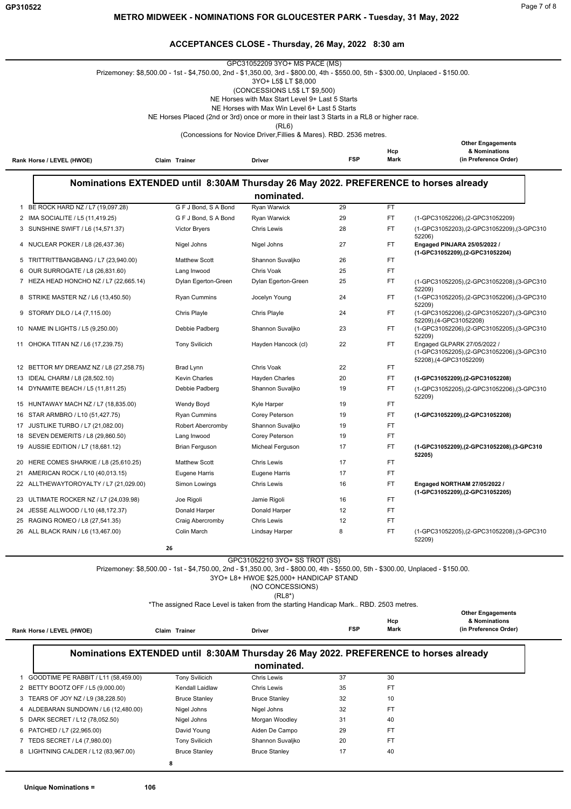# **ACCEPTANCES CLOSE - Thursday, 26 May, 2022 8:30 am** GPC31052209 3YO+ MS PACE (MS)

|                                                                                                                                                                                                                                  |                                                                                      |    |                                              | GPC31052209 3YO+ MS PACE (MS)<br>Prizemoney: \$8,500.00 - 1st - \$4,750.00, 2nd - \$1,350.00, 3rd - \$800.00, 4th - \$550.00, 5th - \$300.00, Unplaced - \$150.00. |            |             |                                                                              |
|----------------------------------------------------------------------------------------------------------------------------------------------------------------------------------------------------------------------------------|--------------------------------------------------------------------------------------|----|----------------------------------------------|--------------------------------------------------------------------------------------------------------------------------------------------------------------------|------------|-------------|------------------------------------------------------------------------------|
|                                                                                                                                                                                                                                  | 3YO+ L5\$ LT \$8,000<br>(CONCESSIONS L5\$ LT \$9,500)                                |    |                                              |                                                                                                                                                                    |            |             |                                                                              |
|                                                                                                                                                                                                                                  | NE Horses with Max Start Level 9+ Last 5 Starts                                      |    |                                              |                                                                                                                                                                    |            |             |                                                                              |
|                                                                                                                                                                                                                                  |                                                                                      |    |                                              | NE Horses with Max Win Level 6+ Last 5 Starts<br>NE Horses Placed (2nd or 3rd) once or more in their last 3 Starts in a RL8 or higher race.                        |            |             |                                                                              |
|                                                                                                                                                                                                                                  |                                                                                      |    |                                              | (RL6)                                                                                                                                                              |            |             |                                                                              |
|                                                                                                                                                                                                                                  |                                                                                      |    |                                              | (Concessions for Novice Driver, Fillies & Mares). RBD. 2536 metres.                                                                                                |            |             |                                                                              |
|                                                                                                                                                                                                                                  |                                                                                      |    |                                              |                                                                                                                                                                    |            | Hcp         | <b>Other Engagements</b><br>& Nominations                                    |
|                                                                                                                                                                                                                                  | Rank Horse / LEVEL (HWOE)                                                            |    | Claim Trainer                                | Driver                                                                                                                                                             | <b>FSP</b> | Mark        | (in Preference Order)                                                        |
|                                                                                                                                                                                                                                  |                                                                                      |    |                                              |                                                                                                                                                                    |            |             |                                                                              |
|                                                                                                                                                                                                                                  | Nominations EXTENDED until 8:30AM Thursday 26 May 2022. PREFERENCE to horses already |    |                                              |                                                                                                                                                                    |            |             |                                                                              |
|                                                                                                                                                                                                                                  |                                                                                      |    |                                              | nominated.<br>Ryan Warwick                                                                                                                                         | 29         | FT.         |                                                                              |
| $\mathbf{1}$                                                                                                                                                                                                                     | BE ROCK HARD NZ / L7 (19,097.28)<br>2 IMA SOCIALITE / L5 (11,419.25)                 |    | G F J Bond, S A Bond<br>G F J Bond, S A Bond | Ryan Warwick                                                                                                                                                       | 29         | FT.         | (1-GPC31052206), (2-GPC31052209)                                             |
|                                                                                                                                                                                                                                  | 3 SUNSHINE SWIFT / L6 (14,571.37)                                                    |    | <b>Victor Bryers</b>                         | <b>Chris Lewis</b>                                                                                                                                                 | 28         | FT.         | (1-GPC31052203), (2-GPC31052209), (3-GPC310                                  |
|                                                                                                                                                                                                                                  |                                                                                      |    |                                              |                                                                                                                                                                    |            |             | 52206)                                                                       |
|                                                                                                                                                                                                                                  | 4 NUCLEAR POKER / L8 (26,437.36)                                                     |    | Nigel Johns                                  | Nigel Johns                                                                                                                                                        | 27         | FT          | Engaged PINJARA 25/05/2022 /<br>(1-GPC31052209), (2-GPC31052204)             |
|                                                                                                                                                                                                                                  | 5 TRITTRITTBANGBANG / L7 (23,940.00)                                                 |    | <b>Matthew Scott</b>                         | Shannon Suvaljko                                                                                                                                                   | 26         | FT          |                                                                              |
|                                                                                                                                                                                                                                  | 6 OUR SURROGATE / L8 (26,831.60)                                                     |    | Lang Inwood                                  | Chris Voak                                                                                                                                                         | 25         | FT.         |                                                                              |
|                                                                                                                                                                                                                                  | 7 HEZA HEAD HONCHO NZ / L7 (22,665.14)                                               |    | Dylan Egerton-Green                          | Dylan Egerton-Green                                                                                                                                                | 25         | FT.         | (1-GPC31052205),(2-GPC31052208),(3-GPC310<br>52209)                          |
|                                                                                                                                                                                                                                  | 8 STRIKE MASTER NZ / L6 (13,450.50)                                                  |    | <b>Ryan Cummins</b>                          | Jocelyn Young                                                                                                                                                      | 24         | FT.         | (1-GPC31052205),(2-GPC31052206),(3-GPC310<br>52209)                          |
|                                                                                                                                                                                                                                  | 9 STORMY DILO / L4 (7,115.00)                                                        |    | Chris Playle                                 | Chris Playle                                                                                                                                                       | 24         | FT.         | (1-GPC31052206),(2-GPC31052207),(3-GPC310                                    |
| 10                                                                                                                                                                                                                               | NAME IN LIGHTS / L5 (9,250.00)                                                       |    | Debbie Padberg                               | Shannon Suvaljko                                                                                                                                                   | 23         | FT.         | 52209), (4-GPC31052208)<br>(1-GPC31052206),(2-GPC31052205),(3-GPC310         |
|                                                                                                                                                                                                                                  |                                                                                      |    |                                              |                                                                                                                                                                    |            |             | 52209)                                                                       |
|                                                                                                                                                                                                                                  | 11 OHOKA TITAN NZ / L6 (17,239.75)                                                   |    | <b>Tony Svilicich</b>                        | Hayden Hancock (cl)                                                                                                                                                | 22         | FT          | Engaged GLPARK 27/05/2022 /<br>(1-GPC31052205),(2-GPC31052206),(3-GPC310     |
|                                                                                                                                                                                                                                  |                                                                                      |    |                                              |                                                                                                                                                                    |            |             | 52208), (4-GPC31052209)                                                      |
|                                                                                                                                                                                                                                  | 12 BETTOR MY DREAMZ NZ / L8 (27,258.75)<br>13 IDEAL CHARM / L8 (28,502.10)           |    | Brad Lynn<br><b>Kevin Charles</b>            | Chris Voak<br>Hayden Charles                                                                                                                                       | 22<br>20   | FT.<br>FT.  |                                                                              |
|                                                                                                                                                                                                                                  | 14 DYNAMITE BEACH / L5 (11,811.25)                                                   |    | Debbie Padberg                               | Shannon Suvaljko                                                                                                                                                   | 19         | FT.         | (1-GPC31052209),(2-GPC31052208)<br>(1-GPC31052205),(2-GPC31052206),(3-GPC310 |
|                                                                                                                                                                                                                                  |                                                                                      |    |                                              |                                                                                                                                                                    |            |             | 52209)                                                                       |
|                                                                                                                                                                                                                                  | 15 HUNTAWAY MACH NZ / L7 (18,835.00)                                                 |    | Wendy Boyd                                   | Kyle Harper                                                                                                                                                        | 19         | FT.         |                                                                              |
| 16                                                                                                                                                                                                                               | STAR ARMBRO / L10 (51,427.75)                                                        |    | <b>Ryan Cummins</b>                          | Corey Peterson                                                                                                                                                     | 19         | FT.<br>FT.  | (1-GPC31052209), (2-GPC31052208)                                             |
|                                                                                                                                                                                                                                  | 17 JUSTLIKE TURBO / L7 (21,082.00)<br>18 SEVEN DEMERITS / L8 (29,860.50)             |    | Robert Abercromby<br>Lang Inwood             | Shannon Suvaljko<br>Corey Peterson                                                                                                                                 | 19<br>19   | FT.         |                                                                              |
|                                                                                                                                                                                                                                  | 19 AUSSIE EDITION / L7 (18,681.12)                                                   |    | <b>Brian Ferguson</b>                        | Micheal Ferguson                                                                                                                                                   | 17         | FT.         | (1-GPC31052209), (2-GPC31052208), (3-GPC310                                  |
|                                                                                                                                                                                                                                  |                                                                                      |    |                                              |                                                                                                                                                                    |            |             | 52205)                                                                       |
|                                                                                                                                                                                                                                  | 20 HERE COMES SHARKIE / L8 (25,610.25)                                               |    | <b>Matthew Scott</b>                         | <b>Chris Lewis</b>                                                                                                                                                 | 17<br>17   | FT.<br>FT.  |                                                                              |
| 21                                                                                                                                                                                                                               | AMERICAN ROCK / L10 (40,013.15)<br>22 ALLTHEWAYTOROYALTY / L7 (21,029.00)            |    | Eugene Harris<br>Simon Lowings               | Eugene Harris<br><b>Chris Lewis</b>                                                                                                                                | 16         | FT.         | Engaged NORTHAM 27/05/2022 /                                                 |
|                                                                                                                                                                                                                                  |                                                                                      |    |                                              |                                                                                                                                                                    |            |             | (1-GPC31052209),(2-GPC31052205)                                              |
|                                                                                                                                                                                                                                  | 23 ULTIMATE ROCKER NZ / L7 (24,039.98)                                               |    | Joe Rigoli                                   | Jamie Rigoli                                                                                                                                                       | 16         | FT          |                                                                              |
| 24                                                                                                                                                                                                                               | JESSE ALLWOOD / L10 (48,172.37)<br>25 RAGING ROMEO / L8 (27,541.35)                  |    | Donald Harper<br>Craig Abercromby            | Donald Harper<br><b>Chris Lewis</b>                                                                                                                                | 12<br>12   | FT.<br>FT.  |                                                                              |
|                                                                                                                                                                                                                                  | 26 ALL BLACK RAIN / L6 (13,467.00)                                                   |    | Colin March                                  | Lindsay Harper                                                                                                                                                     | 8          | FT.         | (1-GPC31052205),(2-GPC31052208),(3-GPC310                                    |
|                                                                                                                                                                                                                                  |                                                                                      |    |                                              |                                                                                                                                                                    |            |             | 52209)                                                                       |
|                                                                                                                                                                                                                                  |                                                                                      | 26 |                                              |                                                                                                                                                                    |            |             |                                                                              |
| GPC31052210 3YO+ SS TROT (SS)<br>Prizemoney: \$8,500.00 - 1st - \$4,750.00, 2nd - \$1,350.00, 3rd - \$800.00, 4th - \$550.00, 5th - \$300.00, Unplaced - \$150.00.<br>3YO+ L8+ HWOE \$25,000+ HANDICAP STAND<br>(NO CONCESSIONS) |                                                                                      |    |                                              |                                                                                                                                                                    |            |             |                                                                              |
|                                                                                                                                                                                                                                  |                                                                                      |    |                                              | $(RL8*)$                                                                                                                                                           |            |             |                                                                              |
|                                                                                                                                                                                                                                  |                                                                                      |    |                                              | *The assigned Race Level is taken from the starting Handicap Mark RBD. 2503 metres.                                                                                |            |             | <b>Other Engagements</b>                                                     |
|                                                                                                                                                                                                                                  |                                                                                      |    |                                              |                                                                                                                                                                    | <b>FSP</b> | Hcp<br>Mark | & Nominations<br>(in Preference Order)                                       |
|                                                                                                                                                                                                                                  | Rank Horse / LEVEL (HWOE)                                                            |    | Claim Trainer                                | Driver                                                                                                                                                             |            |             |                                                                              |
|                                                                                                                                                                                                                                  | Nominations EXTENDED until 8:30AM Thursday 26 May 2022. PREFERENCE to horses already |    |                                              | nominated.                                                                                                                                                         |            |             |                                                                              |
|                                                                                                                                                                                                                                  | 1 GOODTIME PE RABBIT / L11 (58,459.00)                                               |    | <b>Tony Svilicich</b>                        | Chris Lewis                                                                                                                                                        | 37         | 30          |                                                                              |
|                                                                                                                                                                                                                                  | 2 BETTY BOOTZ OFF / L5 (9,000.00)                                                    |    | Kendall Laidlaw                              | <b>Chris Lewis</b>                                                                                                                                                 | 35         | FT.         |                                                                              |
|                                                                                                                                                                                                                                  | 3 TEARS OF JOY NZ / L9 (38,228.50)                                                   |    | <b>Bruce Stanley</b>                         | <b>Bruce Stanley</b>                                                                                                                                               | 32         | 10          |                                                                              |
|                                                                                                                                                                                                                                  | 4 ALDEBARAN SUNDOWN / L6 (12,480.00)                                                 |    | Nigel Johns                                  | Nigel Johns                                                                                                                                                        | 32         | <b>FT</b>   |                                                                              |
|                                                                                                                                                                                                                                  | 5 DARK SECRET / L12 (78,052.50)                                                      |    | Nigel Johns                                  | Morgan Woodley                                                                                                                                                     | 31         | 40          |                                                                              |
|                                                                                                                                                                                                                                  | 6 PATCHED / L7 (22,965.00)                                                           |    | David Young                                  | Aiden De Campo                                                                                                                                                     | 29         | FT.         |                                                                              |
|                                                                                                                                                                                                                                  | 7 TEDS SECRET / L4 (7,980.00)                                                        |    | <b>Tony Svilicich</b>                        | Shannon Suvaljko                                                                                                                                                   | 20         | <b>FT</b>   |                                                                              |
|                                                                                                                                                                                                                                  | 8 LIGHTNING CALDER / L12 (83,967.00)                                                 |    | <b>Bruce Stanley</b>                         | <b>Bruce Stanley</b>                                                                                                                                               | 17         | 40          |                                                                              |
|                                                                                                                                                                                                                                  | 8                                                                                    |    |                                              |                                                                                                                                                                    |            |             |                                                                              |